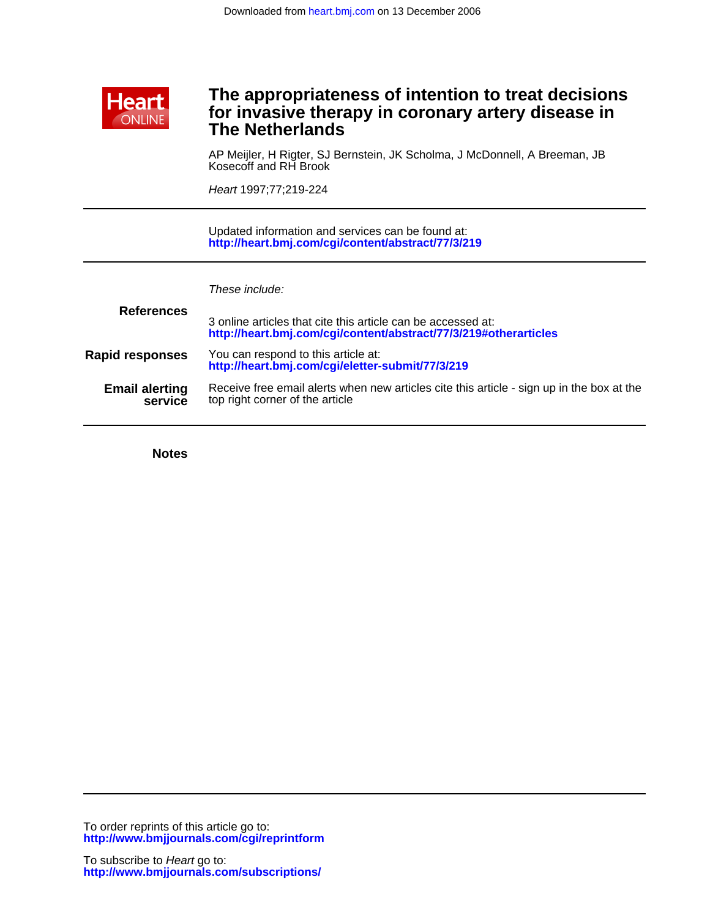

# **The Netherlands for invasive therapy in coronary artery disease in The appropriateness of intention to treat decisions**

Kosecoff and RH Brook AP Meijler, H Rigter, SJ Bernstein, JK Scholma, J McDonnell, A Breeman, JB

Heart 1997;77;219-224

**<http://heart.bmj.com/cgi/content/abstract/77/3/219>** Updated information and services can be found at:

These include:

| <b>References</b>                | 3 online articles that cite this article can be accessed at:<br>http://heart.bmj.com/cgi/content/abstract/77/3/219#otherarticles |
|----------------------------------|----------------------------------------------------------------------------------------------------------------------------------|
| <b>Rapid responses</b>           | You can respond to this article at:<br>http://heart.bmj.com/cgi/eletter-submit/77/3/219                                          |
| <b>Email alerting</b><br>service | Receive free email alerts when new articles cite this article - sign up in the box at the<br>top right corner of the article     |

**Notes**

**<http://www.bmjjournals.com/cgi/reprintform>** To order reprints of this article go to: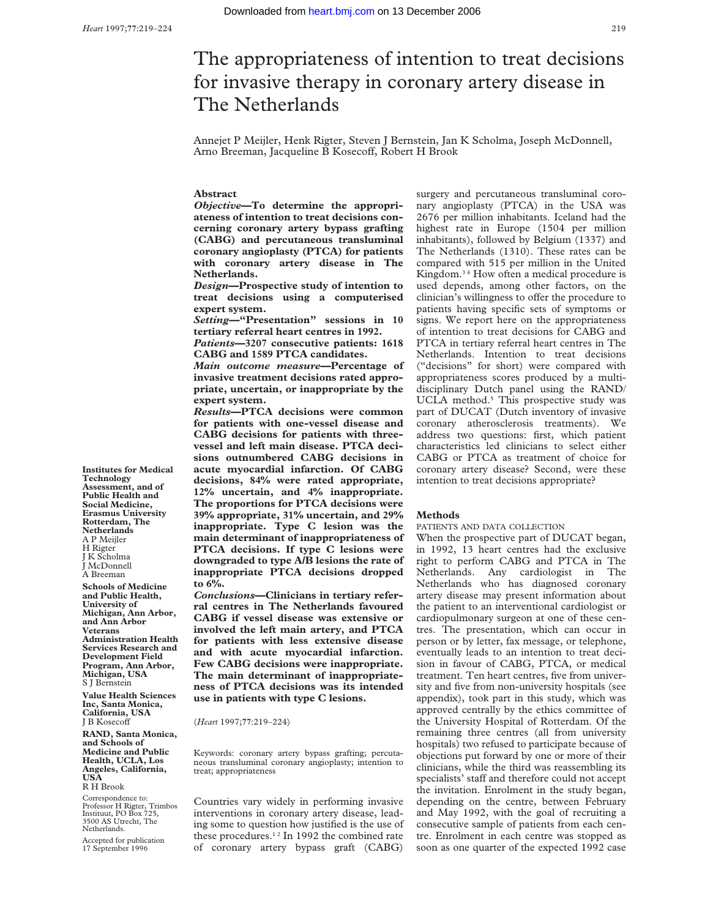# The appropriateness of intention to treat decisions for invasive therapy in coronary artery disease in The Netherlands

Annejet P Meijler, Henk Rigter, Steven J Bernstein, Jan K Scholma, Joseph McDonnell, Arno Breeman, Jacqueline B Kosecoff, Robert H Brook

## **Abstract**

*Objective***—To determine the appropriateness of intention to treat decisions concerning coronary artery bypass grafting (CABG) and percutaneous transluminal coronary angioplasty (PTCA) for patients with coronary artery disease in The Netherlands.**

*Design***—Prospective study of intention to treat decisions using a computerised expert system.**

*Setting***—"Presentation" sessions in 10 tertiary referral heart centres in 1992.**

*Patients***—3207 consecutive patients: 1618 CABG and 1589 PTCA candidates.**

*Main outcome measure***—Percentage of invasive treatment decisions rated appropriate, uncertain, or inappropriate by the expert system.**

*Results***—PTCA decisions were common for patients with one-vessel disease and CABG decisions for patients with threevessel and left main disease. PTCA decisions outnumbered CABG decisions in acute myocardial infarction. Of CABG decisions, 84% were rated appropriate, 12% uncertain, and 4% inappropriate. The proportions for PTCA decisions were 39% appropriate, 31% uncertain, and 29% inappropriate. Type C lesion was the main determinant of inappropriateness of PTCA decisions. If type C lesions were downgraded to type A/B lesions the rate of inappropriate PTCA decisions dropped to 6%.**

*Conclusions***—Clinicians in tertiary referral centres in The Netherlands favoured CABG if vessel disease was extensive or involved the left main artery, and PTCA for patients with less extensive disease and with acute myocardial infarction. Few CABG decisions were inappropriate. The main determinant of inappropriateness of PTCA decisions was its intended use in patients with type C lesions.**

(*Heart* 1997;**77**:219–224)

Keywords: coronary artery bypass grafting; percutaneous transluminal coronary angioplasty; intention to treat; appropriateness

Countries vary widely in performing invasive interventions in coronary artery disease, leading some to question how justified is the use of these procedures.<sup>12</sup> In 1992 the combined rate of coronary artery bypass graft (CABG)

surgery and percutaneous transluminal coronary angioplasty (PTCA) in the USA was 2676 per million inhabitants. Iceland had the highest rate in Europe (1504 per million inhabitants), followed by Belgium (1337) and The Netherlands (1310). These rates can be compared with 515 per million in the United Kingdom.3 4 How often a medical procedure is used depends, among other factors, on the clinician's willingness to offer the procedure to patients having specific sets of symptoms or signs. We report here on the appropriateness of intention to treat decisions for CABG and PTCA in tertiary referral heart centres in The Netherlands. Intention to treat decisions ("decisions" for short) were compared with appropriateness scores produced by a multidisciplinary Dutch panel using the RAND/ UCLA method.<sup>5</sup> This prospective study was part of DUCAT (Dutch inventory of invasive coronary atherosclerosis treatments). We address two questions: first, which patient characteristics led clinicians to select either CABG or PTCA as treatment of choice for coronary artery disease? Second, were these intention to treat decisions appropriate?

## **Methods**

PATIENTS AND DATA COLLECTION

When the prospective part of DUCAT began, in 1992, 13 heart centres had the exclusive right to perform CABG and PTCA in The Netherlands. Any cardiologist in The Netherlands who has diagnosed coronary artery disease may present information about the patient to an interventional cardiologist or cardiopulmonary surgeon at one of these centres. The presentation, which can occur in person or by letter, fax message, or telephone, eventually leads to an intention to treat decision in favour of CABG, PTCA, or medical treatment. Ten heart centres, five from university and five from non-university hospitals (see appendix), took part in this study, which was approved centrally by the ethics committee of the University Hospital of Rotterdam. Of the remaining three centres (all from university hospitals) two refused to participate because of objections put forward by one or more of their clinicians, while the third was reassembling its specialists' staff and therefore could not accept the invitation. Enrolment in the study began, depending on the centre, between February and May 1992, with the goal of recruiting a consecutive sample of patients from each centre. Enrolment in each centre was stopped as soon as one quarter of the expected 1992 case

**Institutes for Medical Technology Assessment, and of Public Health and Social Medicine, Erasmus University Rotterdam, The Netherlands** A P Meijler H Rigter J K Scholma J McDonnell A Breeman

**Schools of Medicine and Public Health, University of Michigan, Ann Arbor, and Ann Arbor Veterans Administration Health Services Research and Development Field Program, Ann Arbor, Michigan, USA** S J Bernstein **Value Health Sciences Inc, Santa Monica, California, USA** J B Kosecoff **RAND, Santa Monica, and Schools of Medicine and Public Health, UCLA, Los Angeles, California, USA**

R H Brook

Correspondence to: Professor H Rigter, Trimbos Instituut, PO Box 725, 3500 AS Utrecht, The Netherlands.

Accepted for publication 17 September 1996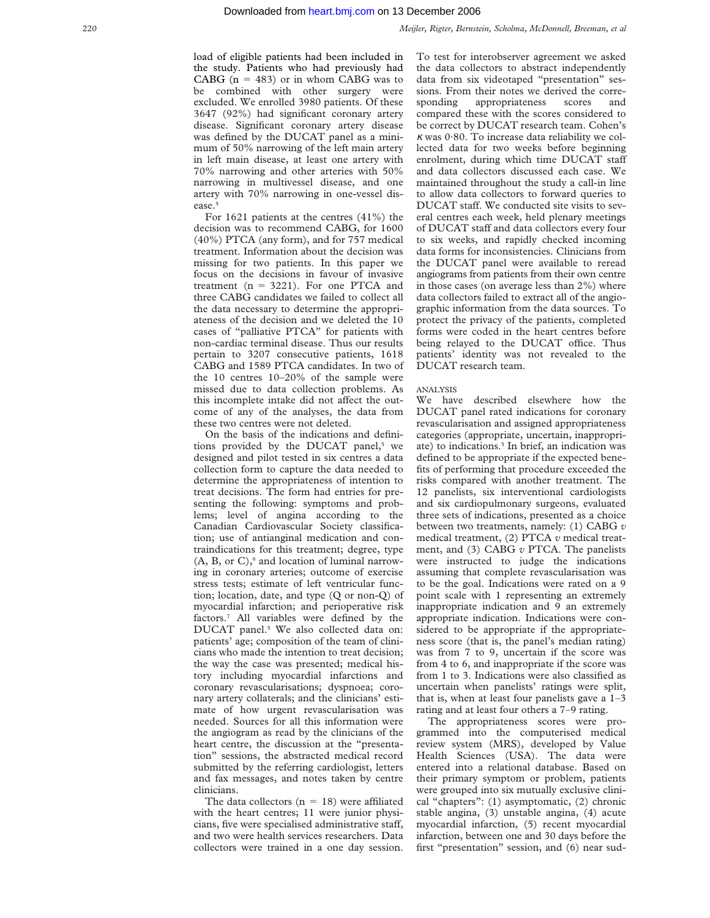load of eligible patients had been included in the study. Patients who had previously had CABG ( $n = 483$ ) or in whom CABG was to be combined with other surgery were excluded. We enrolled 3980 patients. Of these 3647 (92%) had significant coronary artery disease. Significant coronary artery disease was defined by the DUCAT panel as a minimum of 50% narrowing of the left main artery in left main disease, at least one artery with 70% narrowing and other arteries with 50% narrowing in multivessel disease, and one artery with 70% narrowing in one-vessel disease.<sup>5</sup>

For 1621 patients at the centres (41%) the decision was to recommend CABG, for 1600 (40%) PTCA (any form), and for 757 medical treatment. Information about the decision was missing for two patients. In this paper we focus on the decisions in favour of invasive treatment  $(n = 3221)$ . For one PTCA and three CABG candidates we failed to collect all the data necessary to determine the appropriateness of the decision and we deleted the 10 cases of "palliative PTCA" for patients with non-cardiac terminal disease. Thus our results pertain to 3207 consecutive patients, 1618 CABG and 1589 PTCA candidates. In two of the 10 centres 10–20% of the sample were missed due to data collection problems. As this incomplete intake did not affect the outcome of any of the analyses, the data from these two centres were not deleted.

On the basis of the indications and definitions provided by the DUCAT panel,<sup>5</sup> we designed and pilot tested in six centres a data collection form to capture the data needed to determine the appropriateness of intention to treat decisions. The form had entries for presenting the following: symptoms and problems; level of angina according to the Canadian Cardiovascular Society classification; use of antianginal medication and contraindications for this treatment; degree, type  $(A, B, or C)$ ,<sup>6</sup> and location of luminal narrowing in coronary arteries; outcome of exercise stress tests; estimate of left ventricular function; location, date, and type (Q or non-Q) of myocardial infarction; and perioperative risk factors.7 All variables were defined by the DUCAT panel.<sup>5</sup> We also collected data on: patients' age; composition of the team of clinicians who made the intention to treat decision; the way the case was presented; medical history including myocardial infarctions and coronary revascularisations; dyspnoea; coronary artery collaterals; and the clinicians' estimate of how urgent revascularisation was needed. Sources for all this information were the angiogram as read by the clinicians of the heart centre, the discussion at the "presentation" sessions, the abstracted medical record submitted by the referring cardiologist, letters and fax messages, and notes taken by centre clinicians.

The data collectors ( $n = 18$ ) were affiliated with the heart centres; 11 were junior physicians, five were specialised administrative staff, and two were health services researchers. Data collectors were trained in a one day session. To test for interobserver agreement we asked the data collectors to abstract independently data from six videotaped "presentation" sessions. From their notes we derived the corresponding appropriateness scores and compared these with the scores considered to be correct by DUCAT research team. Cohen's  $\kappa$  was 0.80. To increase data reliability we collected data for two weeks before beginning enrolment, during which time DUCAT staff and data collectors discussed each case. We maintained throughout the study a call-in line to allow data collectors to forward queries to DUCAT staff. We conducted site visits to several centres each week, held plenary meetings of DUCAT staff and data collectors every four to six weeks, and rapidly checked incoming data forms for inconsistencies. Clinicians from the DUCAT panel were available to reread angiograms from patients from their own centre in those cases (on average less than 2%) where data collectors failed to extract all of the angiographic information from the data sources. To protect the privacy of the patients, completed forms were coded in the heart centres before being relayed to the DUCAT office. Thus patients' identity was not revealed to the DUCAT research team.

#### ANALYSIS

We have described elsewhere how the DUCAT panel rated indications for coronary revascularisation and assigned appropriateness categories (appropriate, uncertain, inappropriate) to indications.<sup>5</sup> In brief, an indication was defined to be appropriate if the expected benefits of performing that procedure exceeded the risks compared with another treatment. The 12 panelists, six interventional cardiologists and six cardiopulmonary surgeons, evaluated three sets of indications, presented as a choice between two treatments, namely: (1) CABG *v* medical treatment, (2) PTCA *v* medical treatment, and (3) CABG *v* PTCA. The panelists were instructed to judge the indications assuming that complete revascularisation was to be the goal. Indications were rated on a 9 point scale with 1 representing an extremely inappropriate indication and 9 an extremely appropriate indication. Indications were considered to be appropriate if the appropriateness score (that is, the panel's median rating) was from 7 to 9, uncertain if the score was from 4 to 6, and inappropriate if the score was from 1 to 3. Indications were also classified as uncertain when panelists' ratings were split, that is, when at least four panelists gave a 1–3 rating and at least four others a 7–9 rating.

The appropriateness scores were programmed into the computerised medical review system (MRS), developed by Value Health Sciences (USA). The data were entered into a relational database. Based on their primary symptom or problem, patients were grouped into six mutually exclusive clinical "chapters": (1) asymptomatic, (2) chronic stable angina, (3) unstable angina, (4) acute myocardial infarction, (5) recent myocardial infarction, between one and 30 days before the first "presentation" session, and (6) near sud-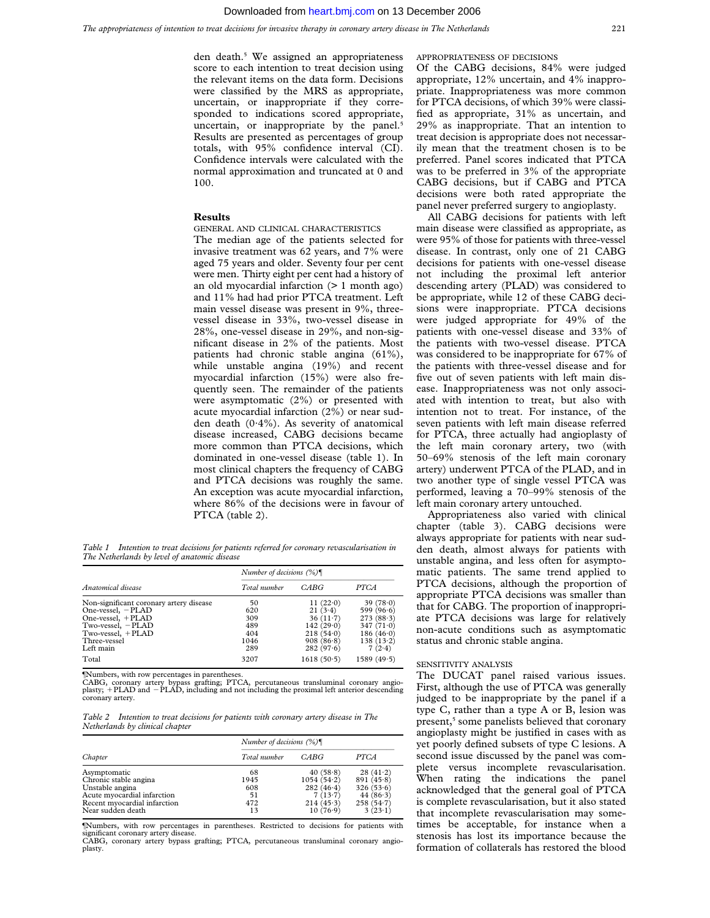den death.<sup>5</sup> We assigned an appropriateness score to each intention to treat decision using the relevant items on the data form. Decisions were classified by the MRS as appropriate, uncertain, or inappropriate if they corresponded to indications scored appropriate, uncertain, or inappropriate by the panel.<sup>5</sup> Results are presented as percentages of group totals, with 95% confidence interval (CI). Confidence intervals were calculated with the normal approximation and truncated at 0 and 100.

## **Results**

#### GENERAL AND CLINICAL CHARACTERISTICS

The median age of the patients selected for invasive treatment was 62 years, and 7% were aged 75 years and older. Seventy four per cent were men. Thirty eight per cent had a history of an old myocardial infarction (> 1 month ago) and 11% had had prior PTCA treatment. Left main vessel disease was present in 9%, threevessel disease in 33%, two-vessel disease in 28%, one-vessel disease in 29%, and non-significant disease in 2% of the patients. Most patients had chronic stable angina (61%), while unstable angina (19%) and recent myocardial infarction (15%) were also frequently seen. The remainder of the patients were asymptomatic (2%) or presented with acute myocardial infarction (2%) or near sudden death (0·4%). As severity of anatomical disease increased, CABG decisions became more common than PTCA decisions, which dominated in one-vessel disease (table 1). In most clinical chapters the frequency of CABG and PTCA decisions was roughly the same. An exception was acute myocardial infarction, where 86% of the decisions were in favour of PTCA (table 2).

*Table 1 Intention to treat decisions for patients referred for coronary revascularisation in The Netherlands by level of anatomic disease*

|                                         | Number of decisions $(\% )$ |             |              |
|-----------------------------------------|-----------------------------|-------------|--------------|
| Anatomical disease                      | Total number                | CABG        | <i>PTCA</i>  |
| Non-significant coronary artery disease | 50                          | 11 $(22.0)$ | 39 $(78.0)$  |
| One-vessel, -PLAD                       | 620                         | 21(3.4)     | 599 $(96.6)$ |
| One-vessel, $+$ PLAD                    | 309                         | $36(11-7)$  | 273(88.3)    |
| $Two-vessel, -PLAD$                     | 489                         | 142(29.0)   | 347 $(71.0)$ |
| $Two-vessel, + PLAD$                    | 404                         | 218(54.0)   | 186(46.0)    |
| Three-vessel                            | 1046                        | 908(86.8)   | 138(13.2)    |
| Left main                               | 289                         | 282(97.6)   | 7(2.4)       |
| Total                                   | 3207                        | 1618(50.5)  | 1589(49.5)   |

¶Numbers, with row percentages in parentheses.

CABG, coronary artery bypass grafting; PTCA, percutaneous transluminal coronary angioplasty;  $+$  PLAD and  $-$  PLAD, including and not including the proximal left anterior descending coronary artery.

*Table 2 Intention to treat decisions for patients with coronary artery disease in The Netherlands by clinical chapter*

|                              | Number of decisions $(\%)$ |             |             |
|------------------------------|----------------------------|-------------|-------------|
| Chapter                      | Total number               | CABG        | <i>PTCA</i> |
| Asymptomatic                 | 68                         | 40(58.8)    | 28(41.2)    |
| Chronic stable angina        | 1945                       | 1054(54.2)  | 891(45.8)   |
| Unstable angina              | 608                        | $282(46-4)$ | 326(53.6)   |
| Acute myocardial infarction  | 51                         | 7(13.7)     | 44(86.3)    |
| Recent myocardial infarction | 472                        | 214(45.3)   | 258(54.7)   |
| Near sudden death            | 13                         | 10(76.9)    | 3(23.1)     |

¶Numbers, with row percentages in parentheses. Restricted to decisions for patients with

significant coronary artery disease. CABG, coronary artery bypass grafting; PTCA, percutaneous transluminal coronary angioplasty.

#### APPROPRIATENESS OF DECISIONS

Of the CABG decisions, 84% were judged appropriate, 12% uncertain, and 4% inappropriate. Inappropriateness was more common for PTCA decisions, of which 39% were classified as appropriate, 31% as uncertain, and 29% as inappropriate. That an intention to treat decision is appropriate does not necessarily mean that the treatment chosen is to be preferred. Panel scores indicated that PTCA was to be preferred in 3% of the appropriate CABG decisions, but if CABG and PTCA decisions were both rated appropriate the panel never preferred surgery to angioplasty.

All CABG decisions for patients with left main disease were classified as appropriate, as were 95% of those for patients with three-vessel disease. In contrast, only one of 21 CABG decisions for patients with one-vessel disease not including the proximal left anterior descending artery (PLAD) was considered to be appropriate, while 12 of these CABG decisions were inappropriate. PTCA decisions were judged appropriate for 49% of the patients with one-vessel disease and 33% of the patients with two-vessel disease. PTCA was considered to be inappropriate for 67% of the patients with three-vessel disease and for five out of seven patients with left main disease. Inappropriateness was not only associated with intention to treat, but also with intention not to treat. For instance, of the seven patients with left main disease referred for PTCA, three actually had angioplasty of the left main coronary artery, two (with 50–69% stenosis of the left main coronary artery) underwent PTCA of the PLAD, and in two another type of single vessel PTCA was performed, leaving a 70–99% stenosis of the left main coronary artery untouched.

Appropriateness also varied with clinical chapter (table 3). CABG decisions were always appropriate for patients with near sudden death, almost always for patients with unstable angina, and less often for asymptomatic patients. The same trend applied to PTCA decisions, although the proportion of appropriate PTCA decisions was smaller than that for CABG. The proportion of inappropriate PTCA decisions was large for relatively non-acute conditions such as asymptomatic status and chronic stable angina.

## SENSITIVITY ANALYSIS

The DUCAT panel raised various issues. First, although the use of PTCA was generally judged to be inappropriate by the panel if a type C, rather than a type A or B, lesion was present,<sup>5</sup> some panelists believed that coronary angioplasty might be justified in cases with as yet poorly defined subsets of type C lesions. A second issue discussed by the panel was complete versus incomplete revascularisation. When rating the indications the panel acknowledged that the general goal of PTCA is complete revascularisation, but it also stated that incomplete revascularisation may sometimes be acceptable, for instance when a stenosis has lost its importance because the formation of collaterals has restored the blood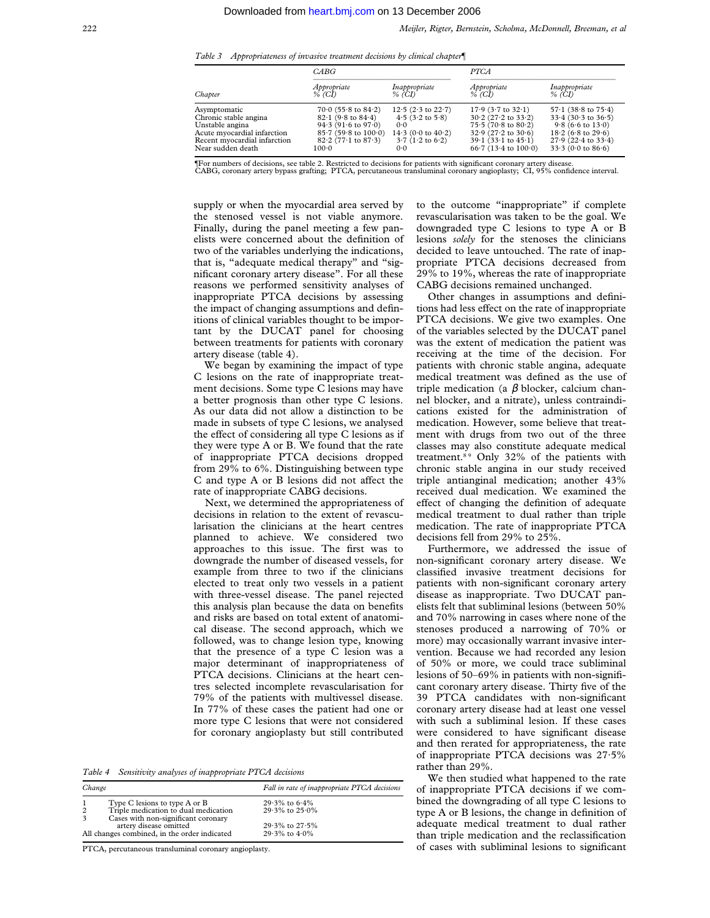222 *Meijler, Rigter, Bernstein, Scholma, McDonnell, Breeman, et al*

*Table 3 Appropriateness of invasive treatment decisions by clinical chapter¶*

|                              | CABG                                |                            | <b>PTCA</b>                   |                              |
|------------------------------|-------------------------------------|----------------------------|-------------------------------|------------------------------|
| Chapter                      | Appropriate                         | Inappropriate              | Appropriate                   | Inappropriate                |
|                              | $%$ (CI)                            | $%$ (CI)                   | $%$ (CI)                      | $%$ (CI)                     |
| Asymptomatic                 | $70.0$ (55.8 to 84.2)               | $12.5$ (2.3 to $22.7$ )    | $17.9$ (3.7 to 32.1)          | $57.1$ (38.8 to $75.4$ )     |
| Chronic stable angina        | $82 \cdot 1$ (9.8 to $84 \cdot 4$ ) | $4.5$ (3.2 to $5.8$ )      | $30.2$ (27.2 to $33.2$ )      | $33.4$ (30.3 to 36.5)        |
| Unstable angina              | $94.3(91.6 \text{ to } 97.0)$       | 0.0                        | $75.5(70.8 \text{ to } 80.2)$ | $9.8$ (6.6 to 13.0)          |
| Acute myocardial infarction  | $85.7(59.8 \text{ to } 100.0)$      | $14.3$ (0.0 to $40.2$ )    | $32.9$ (27.2 to 30.6)         | $18.2$ (6.8 to 29.6)         |
| Recent myocardial infarction | $82.2$ (77.1 to $87.3$ )            | $3.7(1.2 \text{ to } 6.2)$ | 39.1 (33.1 to 45.1)           | $27.9$ (22.4 to 33.4)        |
| Near sudden death            | 100-0                               | $0-0$                      | $66.7$ (13.4 to 100.0)        | $33.3(0.0 \text{ to } 86.6)$ |

¶For numbers of decisions, see table 2. Restricted to decisions for patients with significant coronary artery disease. CABG, coronary artery bypass grafting; PTCA, percutaneous transluminal coronary angioplasty; CI, 95% confidence interval.

supply or when the myocardial area served by the stenosed vessel is not viable anymore. Finally, during the panel meeting a few panelists were concerned about the definition of two of the variables underlying the indications, that is, "adequate medical therapy" and "significant coronary artery disease". For all these reasons we performed sensitivity analyses of inappropriate PTCA decisions by assessing the impact of changing assumptions and definitions of clinical variables thought to be important by the DUCAT panel for choosing between treatments for patients with coronary artery disease (table 4).

We began by examining the impact of type C lesions on the rate of inappropriate treatment decisions. Some type C lesions may have a better prognosis than other type C lesions. As our data did not allow a distinction to be made in subsets of type C lesions, we analysed the effect of considering all type C lesions as if they were type A or B. We found that the rate of inappropriate PTCA decisions dropped from 29% to 6%. Distinguishing between type C and type A or B lesions did not affect the rate of inappropriate CABG decisions.

Next, we determined the appropriateness of decisions in relation to the extent of revascularisation the clinicians at the heart centres planned to achieve. We considered two approaches to this issue. The first was to downgrade the number of diseased vessels, for example from three to two if the clinicians elected to treat only two vessels in a patient with three-vessel disease. The panel rejected this analysis plan because the data on benefits and risks are based on total extent of anatomical disease. The second approach, which we followed, was to change lesion type, knowing that the presence of a type C lesion was a major determinant of inappropriateness of PTCA decisions. Clinicians at the heart centres selected incomplete revascularisation for 79% of the patients with multivessel disease. In 77% of these cases the patient had one or more type C lesions that were not considered for coronary angioplasty but still contributed

*Table 4 Sensitivity analyses of inappropriate PTCA decisions*

| Change                                              | Fall in rate of inappropriate PTCA decisions |  |  |
|-----------------------------------------------------|----------------------------------------------|--|--|
| Type C lesions to type A or B                       | $29.3\%$ to $6.4\%$                          |  |  |
| Triple medication to dual medication<br>2           | $29.3\%$ to $25.0\%$                         |  |  |
| $\mathbf{3}$<br>Cases with non-significant coronary |                                              |  |  |
| artery disease omitted                              | $29.3\%$ to $27.5\%$                         |  |  |
| All changes combined, in the order indicated        | $29.3\%$ to $4.0\%$                          |  |  |
|                                                     |                                              |  |  |

PTCA, percutaneous transluminal coronary angioplasty.

to the outcome "inappropriate" if complete revascularisation was taken to be the goal. We downgraded type C lesions to type A or B lesions *solely* for the stenoses the clinicians decided to leave untouched. The rate of inappropriate PTCA decisions decreased from 29% to 19%, whereas the rate of inappropriate CABG decisions remained unchanged.

Other changes in assumptions and definitions had less effect on the rate of inappropriate PTCA decisions. We give two examples. One of the variables selected by the DUCAT panel was the extent of medication the patient was receiving at the time of the decision. For patients with chronic stable angina, adequate medical treatment was defined as the use of triple medication (a  $\beta$  blocker, calcium channel blocker, and a nitrate), unless contraindications existed for the administration of medication. However, some believe that treatment with drugs from two out of the three classes may also constitute adequate medical treatment.<sup>89</sup> Only 32% of the patients with chronic stable angina in our study received triple antianginal medication; another 43% received dual medication. We examined the effect of changing the definition of adequate medical treatment to dual rather than triple medication. The rate of inappropriate PTCA decisions fell from 29% to 25%.

Furthermore, we addressed the issue of non-significant coronary artery disease. We classified invasive treatment decisions for patients with non-significant coronary artery disease as inappropriate. Two DUCAT panelists felt that subliminal lesions (between 50% and 70% narrowing in cases where none of the stenoses produced a narrowing of 70% or more) may occasionally warrant invasive intervention. Because we had recorded any lesion of 50% or more, we could trace subliminal lesions of 50–69% in patients with non-significant coronary artery disease. Thirty five of the 39 PTCA candidates with non-significant coronary artery disease had at least one vessel with such a subliminal lesion. If these cases were considered to have significant disease and then rerated for appropriateness, the rate of inappropriate PTCA decisions was 27·5% rather than 29%.

We then studied what happened to the rate of inappropriate PTCA decisions if we combined the downgrading of all type C lesions to type A or B lesions, the change in definition of adequate medical treatment to dual rather than triple medication and the reclassification of cases with subliminal lesions to significant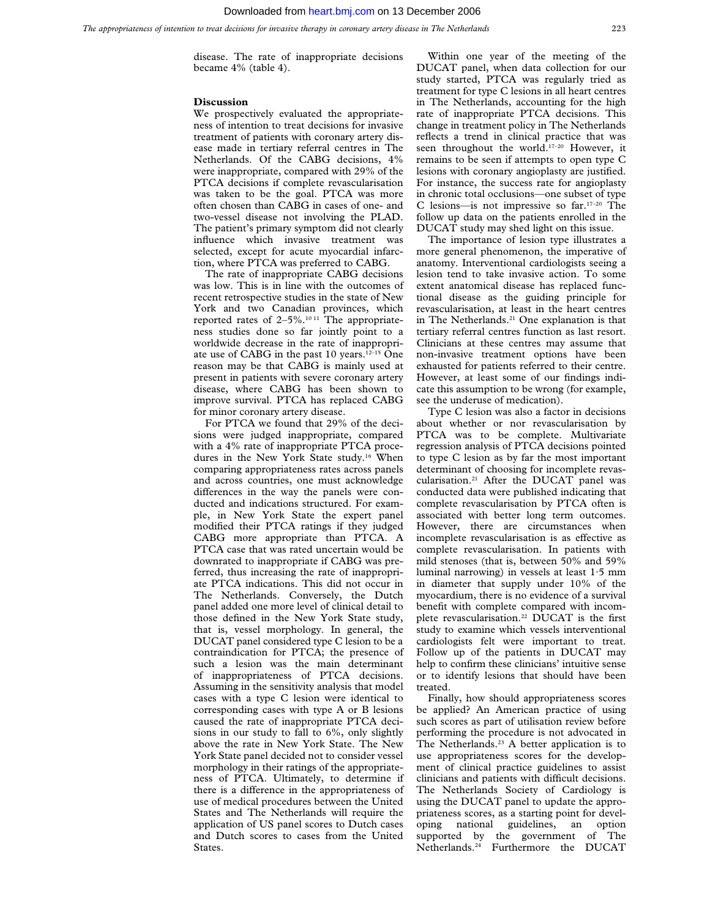disease. The rate of inappropriate decisions became 4% (table 4).

#### **Discussion**

We prospectively evaluated the appropriateness of intention to treat decisions for invasive treatment of patients with coronary artery disease made in tertiary referral centres in The Netherlands. Of the CABG decisions, 4% were inappropriate, compared with 29% of the PTCA decisions if complete revascularisation was taken to be the goal. PTCA was more often chosen than CABG in cases of one- and two-vessel disease not involving the PLAD. The patient's primary symptom did not clearly influence which invasive treatment was selected, except for acute myocardial infarction, where PTCA was preferred to CABG.

The rate of inappropriate CABG decisions was low. This is in line with the outcomes of recent retrospective studies in the state of New York and two Canadian provinces, which reported rates of 2–5%.10 11 The appropriateness studies done so far jointly point to a worldwide decrease in the rate of inappropriate use of CABG in the past 10 years.12–15 One reason may be that CABG is mainly used at present in patients with severe coronary artery disease, where CABG has been shown to improve survival. PTCA has replaced CABG for minor coronary artery disease.

For PTCA we found that 29% of the decisions were judged inappropriate, compared with a 4% rate of inappropriate PTCA procedures in the New York State study.<sup>16</sup> When comparing appropriateness rates across panels and across countries, one must acknowledge differences in the way the panels were conducted and indications structured. For example, in New York State the expert panel modified their PTCA ratings if they judged CABG more appropriate than PTCA. A PTCA case that was rated uncertain would be downrated to inappropriate if CABG was preferred, thus increasing the rate of inappropriate PTCA indications. This did not occur in The Netherlands. Conversely, the Dutch panel added one more level of clinical detail to those defined in the New York State study, that is, vessel morphology. In general, the DUCAT panel considered type C lesion to be a contraindication for PTCA; the presence of such a lesion was the main determinant of inappropriateness of PTCA decisions. Assuming in the sensitivity analysis that model cases with a type C lesion were identical to corresponding cases with type A or B lesions caused the rate of inappropriate PTCA decisions in our study to fall to 6%, only slightly above the rate in New York State. The New York State panel decided not to consider vessel morphology in their ratings of the appropriateness of PTCA. Ultimately, to determine if there is a difference in the appropriateness of use of medical procedures between the United States and The Netherlands will require the application of US panel scores to Dutch cases and Dutch scores to cases from the United States.

Within one year of the meeting of the DUCAT panel, when data collection for our study started, PTCA was regularly tried as treatment for type C lesions in all heart centres in The Netherlands, accounting for the high rate of inappropriate PTCA decisions. This change in treatment policy in The Netherlands reflects a trend in clinical practice that was seen throughout the world.<sup>17-20</sup> However, it remains to be seen if attempts to open type C lesions with coronary angioplasty are justified. For instance, the success rate for angioplasty in chronic total occlusions—one subset of type C lesions—is not impressive so far.17–20 The follow up data on the patients enrolled in the DUCAT study may shed light on this issue.

The importance of lesion type illustrates a more general phenomenon, the imperative of anatomy. Interventional cardiologists seeing a lesion tend to take invasive action. To some extent anatomical disease has replaced functional disease as the guiding principle for revascularisation, at least in the heart centres in The Netherlands.<sup>21</sup> One explanation is that tertiary referral centres function as last resort. Clinicians at these centres may assume that non-invasive treatment options have been exhausted for patients referred to their centre. However, at least some of our findings indicate this assumption to be wrong (for example, see the underuse of medication).

Type C lesion was also a factor in decisions about whether or nor revascularisation by PTCA was to be complete. Multivariate regression analysis of PTCA decisions pointed to type C lesion as by far the most important determinant of choosing for incomplete revascularisation.21 After the DUCAT panel was conducted data were published indicating that complete revascularisation by PTCA often is associated with better long term outcomes. However, there are circumstances when incomplete revascularisation is as effective as complete revascularisation. In patients with mild stenoses (that is, between 50% and 59% luminal narrowing) in vessels at least 1·5 mm in diameter that supply under 10% of the myocardium, there is no evidence of a survival benefit with complete compared with incomplete revascularisation.<sup>22</sup> DUCAT is the first study to examine which vessels interventional cardiologists felt were important to treat. Follow up of the patients in DUCAT may help to confirm these clinicians' intuitive sense or to identify lesions that should have been treated.

Finally, how should appropriateness scores be applied? An American practice of using such scores as part of utilisation review before performing the procedure is not advocated in The Netherlands.<sup>23</sup> A better application is to use appropriateness scores for the development of clinical practice guidelines to assist clinicians and patients with difficult decisions. The Netherlands Society of Cardiology is using the DUCAT panel to update the appropriateness scores, as a starting point for developing national guidelines, an option supported by the government of The Netherlands.24 Furthermore the DUCAT